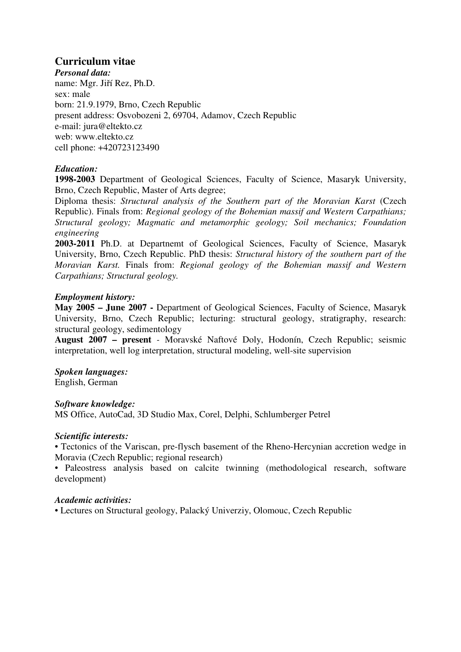# **Curriculum vitae**

*Personal data:*  name: Mgr. Jiří Rez, Ph.D. sex: male born: 21.9.1979, Brno, Czech Republic present address: Osvobozeni 2, 69704, Adamov, Czech Republic e-mail: jura@eltekto.cz web: www.eltekto.cz cell phone: +420723123490

# *Education:*

**1998-2003** Department of Geological Sciences, Faculty of Science, Masaryk University, Brno, Czech Republic, Master of Arts degree;

Diploma thesis: *Structural analysis of the Southern part of the Moravian Karst* (Czech Republic). Finals from: *Regional geology of the Bohemian massif and Western Carpathians; Structural geology; Magmatic and metamorphic geology; Soil mechanics; Foundation engineering* 

**2003-2011** Ph.D. at Departnemt of Geological Sciences, Faculty of Science, Masaryk University, Brno, Czech Republic. PhD thesis: *Structural history of the southern part of the Moravian Karst.* Finals from: *Regional geology of the Bohemian massif and Western Carpathians; Structural geology.*

# *Employment history:*

**May 2005 – June 2007 -** Department of Geological Sciences, Faculty of Science, Masaryk University, Brno, Czech Republic; lecturing: structural geology, stratigraphy, research: structural geology, sedimentology

**August 2007 – present** *-* Moravské Naftové Doly, Hodonín, Czech Republic; seismic interpretation, well log interpretation, structural modeling, well-site supervision

# *Spoken languages:*

English, German

#### *Software knowledge:*

MS Office, AutoCad, 3D Studio Max, Corel, Delphi, Schlumberger Petrel

#### *Scientific interests:*

• Tectonics of the Variscan, pre-flysch basement of the Rheno-Hercynian accretion wedge in Moravia (Czech Republic; regional research)

• Paleostress analysis based on calcite twinning (methodological research, software development)

### *Academic activities:*

• Lectures on Structural geology, Palacký Univerziy, Olomouc, Czech Republic